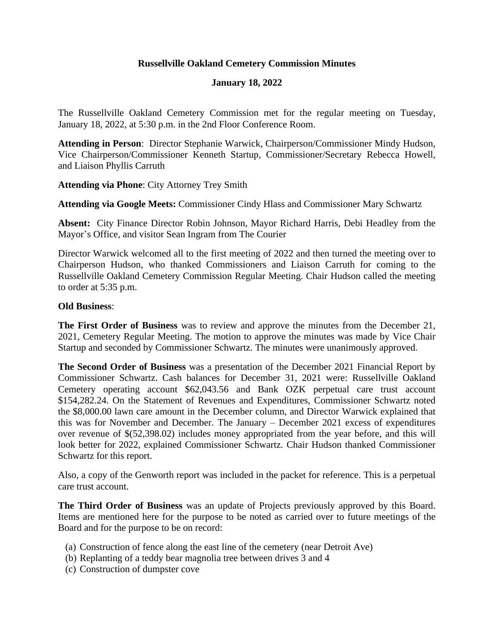## **Russellville Oakland Cemetery Commission Minutes**

## **January 18, 2022**

The Russellville Oakland Cemetery Commission met for the regular meeting on Tuesday, January 18, 2022, at 5:30 p.m. in the 2nd Floor Conference Room.

**Attending in Person**: Director Stephanie Warwick, Chairperson/Commissioner Mindy Hudson, Vice Chairperson/Commissioner Kenneth Startup, Commissioner/Secretary Rebecca Howell, and Liaison Phyllis Carruth

**Attending via Phone**: City Attorney Trey Smith

**Attending via Google Meets:** Commissioner Cindy Hlass and Commissioner Mary Schwartz

**Absent:** City Finance Director Robin Johnson, Mayor Richard Harris, Debi Headley from the Mayor's Office, and visitor Sean Ingram from The Courier

Director Warwick welcomed all to the first meeting of 2022 and then turned the meeting over to Chairperson Hudson, who thanked Commissioners and Liaison Carruth for coming to the Russellville Oakland Cemetery Commission Regular Meeting. Chair Hudson called the meeting to order at 5:35 p.m.

## **Old Business**:

**The First Order of Business** was to review and approve the minutes from the December 21, 2021, Cemetery Regular Meeting. The motion to approve the minutes was made by Vice Chair Startup and seconded by Commissioner Schwartz. The minutes were unanimously approved.

**The Second Order of Business** was a presentation of the December 2021 Financial Report by Commissioner Schwartz. Cash balances for December 31, 2021 were: Russellville Oakland Cemetery operating account \$62,043.56 and Bank OZK perpetual care trust account \$154,282.24. On the Statement of Revenues and Expenditures, Commissioner Schwartz noted the \$8,000.00 lawn care amount in the December column, and Director Warwick explained that this was for November and December. The January – December 2021 excess of expenditures over revenue of \$(52,398.02) includes money appropriated from the year before, and this will look better for 2022, explained Commissioner Schwartz. Chair Hudson thanked Commissioner Schwartz for this report.

Also, a copy of the Genworth report was included in the packet for reference. This is a perpetual care trust account.

**The Third Order of Business** was an update of Projects previously approved by this Board. Items are mentioned here for the purpose to be noted as carried over to future meetings of the Board and for the purpose to be on record:

- (a) Construction of fence along the east line of the cemetery (near Detroit Ave)
- (b) Replanting of a teddy bear magnolia tree between drives 3 and 4
- (c) Construction of dumpster cove